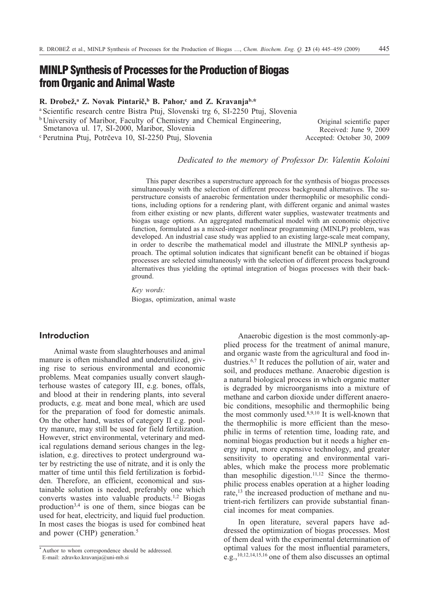# **MINLP Synthesis of Processes for the Production of Biogas from Organic and Animal Waste**

# **R. Drobež,**<sup>a</sup> **Z. Novak Pintarič,**<sup>b</sup> **B. Pahor,<sup>c</sup> and <b>Z. Kravanja**<sup>b,\*</sup>

<sup>a</sup> Scientific research centre Bistra Ptuj, Slovenski trg 6, SI-2250 Ptuj, Slovenia

<sup>b</sup> University of Maribor, Faculty of Chemistry and Chemical Engineering,

Smetanova ul. 17, SI-2000, Maribor, Slovenia

<sup>c</sup> Perutnina Ptuj, Potrèeva 10, SI-2250 Ptuj, Slovenia

Original scientific paper Received: June 9, 2009 Accepted: October 30, 2009

*Dedicated to the memory of Professor Dr. Valentin Koloini*

This paper describes a superstructure approach for the synthesis of biogas processes simultaneously with the selection of different process background alternatives. The superstructure consists of anaerobic fermentation under thermophilic or mesophilic conditions, including options for a rendering plant, with different organic and animal wastes from either existing or new plants, different water supplies, wastewater treatments and biogas usage options. An aggregated mathematical model with an economic objective function, formulated as a mixed-integer nonlinear programming (MINLP) problem, was developed. An industrial case study was applied to an existing large-scale meat company, in order to describe the mathematical model and illustrate the MINLP synthesis approach. The optimal solution indicates that significant benefit can be obtained if biogas processes are selected simultaneously with the selection of different process background alternatives thus yielding the optimal integration of biogas processes with their background.

*Key words:* Biogas, optimization, animal waste

# **Introduction**

Animal waste from slaughterhouses and animal manure is often mishandled and underutilized, giving rise to serious environmental and economic problems. Meat companies usually convert slaughterhouse wastes of category III, e.g. bones, offals, and blood at their in rendering plants, into several products, e.g. meat and bone meal, which are used for the preparation of food for domestic animals. On the other hand, wastes of category II e.g. poultry manure, may still be used for field fertilization. However, strict environmental, veterinary and medical regulations demand serious changes in the legislation, e.g. directives to protect underground water by restricting the use of nitrate, and it is only the matter of time until this field fertilization is forbidden. Therefore, an efficient, economical and sustainable solution is needed, preferably one which converts wastes into valuable products.1,2 Biogas production3,4 is one of them, since biogas can be used for heat, electricity, and liquid fuel production. In most cases the biogas is used for combined heat and power (CHP) generation.<sup>5</sup>

Anaerobic digestion is the most commonly-applied process for the treatment of animal manure, and organic waste from the agricultural and food industries.6,7 It reduces the pollution of air, water and soil, and produces methane. Anaerobic digestion is a natural biological process in which organic matter is degraded by microorganisms into a mixture of methane and carbon dioxide under different anaerobic conditions, mesophilic and thermophilic being the most commonly used.8,9,10 It is well-known that the thermophilic is more efficient than the mesophilic in terms of retention time, loading rate, and nominal biogas production but it needs a higher energy input, more expensive technology, and greater sensitivity to operating and environmental variables, which make the process more problematic than mesophilic digestion.<sup>11,12</sup> Since the thermophilic process enables operation at a higher loading rate,<sup>13</sup> the increased production of methane and nutrient-rich fertilizers can provide substantial financial incomes for meat companies.

In open literature, several papers have addressed the optimization of biogas processes. Most of them deal with the experimental determination of optimal values for the most influential parameters, e.g.,10,12,14,15,16 one of them also discusses an optimal

<sup>\*</sup> Author to whom correspondence should be addressed. E-mail: zdravko.kravanja@uni-mb.si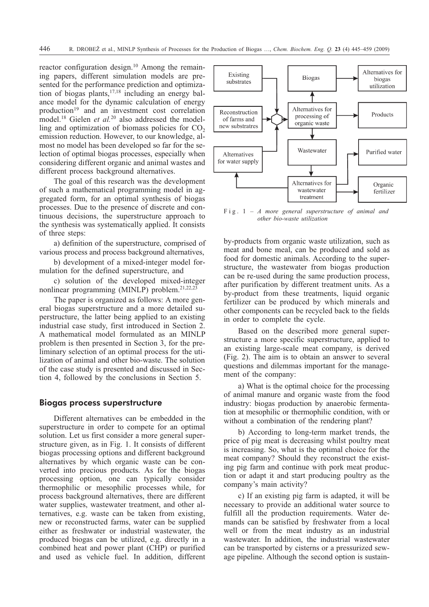reactor configuration design.10 Among the remaining papers, different simulation models are presented for the performance prediction and optimization of biogas plants, $17,18$  including an energy balance model for the dynamic calculation of energy production<sup>19</sup> and an investment cost correlation model.18 Gielen *et al.*<sup>20</sup> also addressed the modelling and optimization of biomass policies for  $CO<sub>2</sub>$ emission reduction. However, to our knowledge, almost no model has been developed so far for the selection of optimal biogas processes, especially when considering different organic and animal wastes and different process background alternatives.

The goal of this research was the development of such a mathematical programming model in aggregated form, for an optimal synthesis of biogas processes. Due to the presence of discrete and continuous decisions, the superstructure approach to the synthesis was systematically applied. It consists of three steps:

a) definition of the superstructure, comprised of various process and process background alternatives,

b) development of a mixed-integer model formulation for the defined superstructure, and

c) solution of the developed mixed-integer nonlinear programming (MINLP) problem.21,22,23

The paper is organized as follows: A more general biogas superstructure and a more detailed superstructure, the latter being applied to an existing industrial case study, first introduced in Section 2. A mathematical model formulated as an MINLP problem is then presented in Section 3, for the preliminary selection of an optimal process for the utilization of animal and other bio-waste. The solution of the case study is presented and discussed in Section 4, followed by the conclusions in Section 5.

# **Biogas process superstructure**

Different alternatives can be embedded in the superstructure in order to compete for an optimal solution. Let us first consider a more general superstructure given, as in Fig. 1. It consists of different biogas processing options and different background alternatives by which organic waste can be converted into precious products. As for the biogas processing option, one can typically consider thermophilic or mesophilic processes while, for process background alternatives, there are different water supplies, wastewater treatment, and other alternatives, e.g. waste can be taken from existing, new or reconstructed farms, water can be supplied either as freshwater or industrial wastewater, the produced biogas can be utilized, e.g. directly in a combined heat and power plant (CHP) or purified and used as vehicle fuel. In addition, different



Fig. 1 – *A more general superstructure of animal and other bio-waste utilization*

by-products from organic waste utilization, such as meat and bone meal, can be produced and sold as food for domestic animals. According to the superstructure, the wastewater from biogas production can be re-used during the same production process, after purification by different treatment units. As a by-product from these treatments, liquid organic fertilizer can be produced by which minerals and other components can be recycled back to the fields in order to complete the cycle.

Based on the described more general superstructure a more specific superstructure, applied to an existing large-scale meat company, is derived (Fig. 2). The aim is to obtain an answer to several questions and dilemmas important for the management of the company:

a) What is the optimal choice for the processing of animal manure and organic waste from the food industry: biogas production by anaerobic fermentation at mesophilic or thermophilic condition, with or without a combination of the rendering plant?

b) According to long-term market trends, the price of pig meat is decreasing whilst poultry meat is increasing. So, what is the optimal choice for the meat company? Should they reconstruct the existing pig farm and continue with pork meat production or adapt it and start producing poultry as the company's main activity?

c) If an existing pig farm is adapted, it will be necessary to provide an additional water source to fulfill all the production requirements. Water demands can be satisfied by freshwater from a local well or from the meat industry as an industrial wastewater. In addition, the industrial wastewater can be transported by cisterns or a pressurized sewage pipeline. Although the second option is sustain-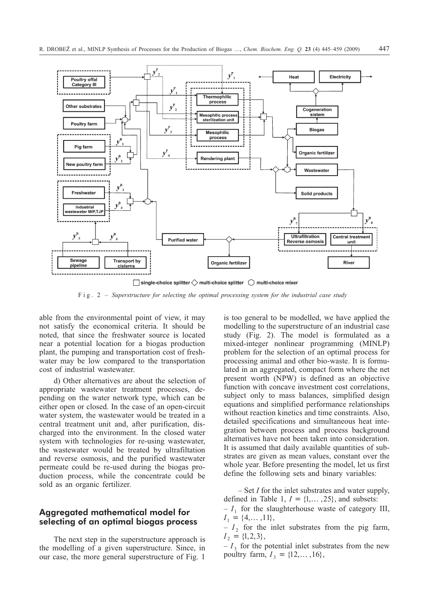

Fig. 2 – *Superstructure for selecting the optimal processing system for the industrial case study*

able from the environmental point of view, it may not satisfy the economical criteria. It should be noted, that since the freshwater source is located near a potential location for a biogas production plant, the pumping and transportation cost of freshwater may be low compared to the transportation cost of industrial wastewater.

d) Other alternatives are about the selection of appropriate wastewater treatment processes, depending on the water network type, which can be either open or closed. In the case of an open-circuit water system, the wastewater would be treated in a central treatment unit and, after purification, discharged into the environment. In the closed water system with technologies for re-using wastewater, the wastewater would be treated by ultrafiltation and reverse osmosis, and the purified wastewater permeate could be re-used during the biogas production process, while the concentrate could be sold as an organic fertilizer.

# **Aggregated mathematical model for selecting of an optimal biogas process**

The next step in the superstructure approach is the modelling of a given superstructure. Since, in our case, the more general superstructure of Fig. 1

is too general to be modelled, we have applied the modelling to the superstructure of an industrial case study (Fig. 2). The model is formulated as a mixed-integer nonlinear programming (MINLP) problem for the selection of an optimal process for processing animal and other bio-waste. It is formulated in an aggregated, compact form where the net present worth (NPW) is defined as an objective function with concave investment cost correlations, subject only to mass balances, simplified design equations and simplified performance relationships without reaction kinetics and time constraints. Also, detailed specifications and simultaneous heat integration between process and process background alternatives have not been taken into consideration. It is assumed that daily available quantities of substrates are given as mean values, constant over the whole year. Before presenting the model, let us first define the following sets and binary variables:

– Set *I* for the inlet substrates and water supply, defined in Table 1,  $I = \{1, ..., 25\}$ , and subsets:

 $-I_1$  for the slaughterhouse waste of category III,  $I_1 = \{4, \ldots, 11\},\$ 

 $-I_2$  for the inlet substrates from the pig farm,  $I_2 = \{1, 2, 3\},\$ 

 $-I_3$  for the potential inlet substrates from the new poultry farm,  $I_3 = \{12, ..., 16\}$ ,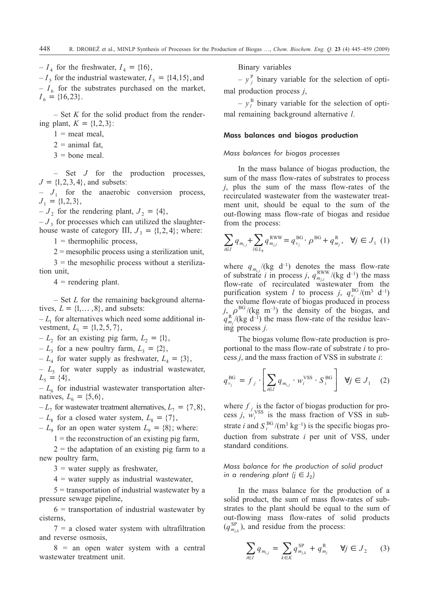$-I_4$  for the freshwater,  $I_4 = \{16\},\$ 

 $-I_5$  for the industrial wastewater,  $I_5 = \{14, 15\}$ , and  $-I<sub>6</sub>$  for the substrates purchased on the market,  $I_6 = \{16, 23\}.$ 

– Set *K* for the solid product from the rendering plant,  $K = \{1, 2, 3\}$ :

 $1$  = meat meal,

- $2$  = animal fat,
- $3 =$  bone meal.

– Set *J* for the production processes,  $J = \{1, 2, 3, 4\}$ , and subsets:

 $-J_1$  for the anaerobic conversion process,  $J_1 = \{1, 2, 3\},\$ 

 $-J_2$  for the rendering plant,  $J_2 = \{4\}$ ,

 $-J<sub>3</sub>$  for processes which can utilized the slaughterhouse waste of category III,  $J_3 = \{1, 2, 4\}$ ; where:

 $1 =$  thermophilic process,

 $2$  = mesophilic process using a sterilization unit,

 $3 =$  the mesophilic process without a sterilization unit,

 $4$  = rendering plant.

– Set *L* for the remaining background alternatives,  $L = \{1, ..., 8\}$ , and subsets:

 $-L_1$  for alternatives which need some additional investment,  $L_1 = \{1, 2, 5, 7\},\$ 

 $-L_2$  for an existing pig farm,  $L_2 = \{1\}$ ,

–  $L_3$  for a new poultry farm,  $L_3 = \{2\}$ ,

 $-L_4$  for water supply as freshwater,  $L_4 = \{3\},\$ 

 $-L<sub>5</sub>$  for water supply as industrial wastewater,  $L_5 = \{4\},\$ 

 $-L_6$  for industrial wastewater transportation alternatives,  $L_6 = \{5, 6\},\$ 

 $-L_7$  for wastewater treatment alternatives,  $L_7 = \{7, 8\},$ 

–  $L_8$  for a closed water system,  $L_8 = \{7\},\$ 

 $-L_9$  for an open water system  $L_9 = \{8\}$ ; where:

 $1 =$  the reconstruction of an existing pig farm.

 $2 =$  the adaptation of an existing pig farm to a new poultry farm,

 $3$  = water supply as freshwater,

 $4$  = water supply as industrial wastewater,

 $5 =$  transportation of industrial wastewater by a pressure sewage pipeline,

 $6$  = transportation of industrial wastewater by cisterns,

 $7 = a$  closed water system with ultrafiltration and reverse osmosis,

 $8 =$  an open water system with a central wastewater treatment unit.

Binary variables

 $- y_j^P$  binary variable for the selection of optimal production process *j*,

 $-y_l^{\rm B}$  binary variable for the selection of optimal remaining background alternative *l*.

### Mass balances and biogas production

# *Mass balances for biogas processes*

In the mass balance of biogas production, the sum of the mass flow-rates of substrates to process *j*, plus the sum of the mass flow-rates of the recirculated wastewater from the wastewater treatment unit, should be equal to the sum of the out-flowing mass flow-rate of biogas and residue from the process:

$$
\sum_{i \in I} q_{m_{i,j}} + \sum_{l \in L_8} q_{m_{j,l}}^{\text{RWW}} = q_{v_j}^{\text{BG}} \cdot \rho^{\text{BG}} + q_{m_j}^{\text{R}}, \quad \forall j \in J_1 \tag{1}
$$

where  $q_{m_{i,j}} / (kg \text{ } d^{-1})$  denotes the mass flow-rate of substrate *i* in process *j*,  $q_{m_{j,l}}^{\text{RWW}}$ /(kg d<sup>-1</sup>) the mass flow-rate of recirculated wastewater from the purification system *l* to process *j*,  $q_{v_j}^{\text{BG}}/(m^3 d^{-1})$ the volume flow-rate of biogas produced in process  $j$ ,  $\rho^{BG}/(kg \text{ m}^{-3})$  the density of the biogas, and  $q_{m_j}^R$ <sup>(</sup>(kg d<sup>-1</sup>) the mass flow-rate of the residue leaving process *j*.

The biogas volume flow-rate production is proportional to the mass flow-rate of substrate *i* to process *j*, and the mass fraction of VSS in substrate *i*:

$$
q_{v_j}^{\text{BG}} = f_j \cdot \left[ \sum_{i \in I} q_{m_{i,j}} \cdot w_i^{\text{VSS}} \cdot S_i^{\text{BG}} \right] \quad \forall j \in J_1 \quad (2)
$$

where  $f_i$  is the factor of biogas production for process *j*,  $w_i^{\text{VSS}}$  is the mass fraction of VSS in substrate *i* and  $S_i^{BG}/(m^3 \text{ kg}^{-1})$  is the specific biogas production from substrate *i* per unit of VSS, under standard conditions.

*Mass balance for the production of solid product in a rendering plant (* $j \in J_2$ *)* 

In the mass balance for the production of a solid product, the sum of mass flow-rates of substrates to the plant should be equal to the sum of out-flowing mass flow-rates of solid products  $(q_{m_{j,k}}^{\text{SP}})$ , and residue from the process:

$$
\sum_{i \in I} q_{m_{i,j}} = \sum_{k \in K} q_{m_{j,k}}^{SP} + q_{m_j}^{R} \quad \forall j \in J_2 \quad (3)
$$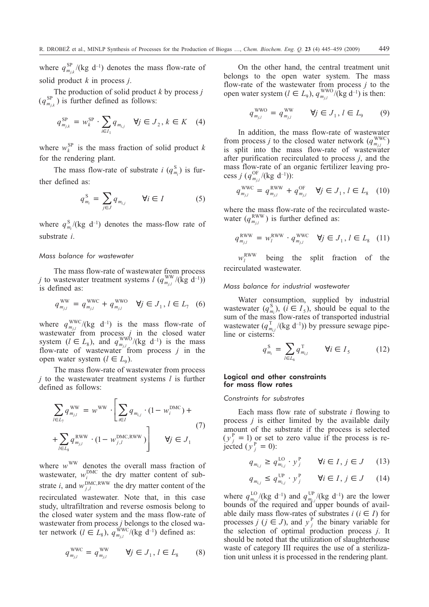where  $q_{m_{j,k}}^{\text{SP}}/(\text{kg d}^{-1})$  denotes the mass flow-rate of solid product *k* in process *j*.

The production of solid product *k* by process *j*  $(q_{m_{j,k}}^{\text{SP}})$  is further defined as follows:

$$
q_{m_{j,k}}^{\rm SP} = w_k^{\rm SP} \cdot \sum_{i \in I_1} q_{m_{i,j}} \quad \forall j \in J_2, k \in K \quad (4)
$$

where  $w_k^{\text{SP}}$  is the mass fraction of solid product *k* for the rendering plant.

The mass flow-rate of substrate *i*  $(q_{m_i}^S)$  is further defined as:

$$
q_{m_i}^S = \sum_{j \in J} q_{m_{i,j}} \qquad \forall i \in I \tag{5}
$$

where  $q_{m_i}^{\rm S} / (\text{kg } \text{d}^{-1})$  denotes the mass-flow rate of substrate *i*.

# *Mass balance for wastewater*

The mass flow-rate of wastewater from process *j* to wastewater treatment systems  $l$  ( $q_{m_{j,l}}^{\text{WW}}$ /(kg d<sup>-1</sup>)) is defined as:

$$
q_{m_{j,l}}^{\text{WW}} = q_{m_{j,l}}^{\text{WWC}} + q_{m_{j,l}}^{\text{WWO}} \quad \forall j \in J_1, l \in L_7 \quad (6)
$$

where  $q_{m_{j,l}}^{\text{WWC}}/(kg \text{ d}^{-1})$  is the mass flow-rate of wastewater from process  $j$  in the closed water system  $(l \in L_8)$ , and  $q_{m_{j,l}}^{\text{WWO}}/(kg \text{ d}^{-1})$  is the mass flow-rate of wastewater from process  $j$  in the open water system  $(l \in L_0)$ .

The mass flow-rate of wastewater from process *j* to the wastewater treatment systems *l* is further defined as follows:

$$
\sum_{l \in L_{7}} q_{m_{j,l}}^{\text{WW}} = w^{\text{WW}} \cdot \left[ \sum_{i \in I} q_{m_{i,j}} \cdot (1 - w_{i}^{\text{DMC}}) + \\ + \sum_{l \in L_{8}} q_{m_{j,l}}^{\text{RWW}} \cdot (1 - w_{j,l}^{\text{DMC,RWW}}) \right] \qquad \forall j \in J_{1}
$$
\n(7)

where  $w^{WW}$  denotes the overall mass fraction of wastewater,  $w_i^{\text{DMC}}$  the dry matter content of substrate *i*, and  $w_{j,l}^{\text{DMC,RWW}}$  the dry matter content of the recirculated wastewater. Note that, in this case study, ultrafiltration and reverse osmosis belong to the closed water system and the mass flow-rate of wastewater from process *j* belongs to the closed water network  $(l \in L_8)$ ,  $q_{m_{j,l}}^{\text{WWC}}/(kg \ d^{-1})$  defined as:

$$
q_{m_{j,l}}^{\text{WWC}} = q_{m_{j,l}}^{\text{WW}} \qquad \forall j \in J_1, l \in L_8 \tag{8}
$$

On the other hand, the central treatment unit belongs to the open water system. The mass flow-rate of the wastewater from process *j* to the open water system  $(l \in L_9)$ ,  $q_{m_{j,l}}^{\text{WWO}}/(\text{kg d}^{-1})$  is then:

$$
q_{m_{j,l}}^{\text{WWO}} = q_{m_{j,l}}^{\text{WW}} \qquad \forall j \in J_1, l \in L_9 \qquad (9)
$$

In addition, the mass flow-rate of wastewater from process *j* to the closed water network  $(q_{m_{j,l}}^{\text{WWC}})$ is split into the mass flow-rate of wastewater after purification recirculated to process *j*, and the mass flow-rate of an organic fertilizer leaving process *j* ( $q_{m_{j,l}}^{\rm OF}/(\text{kg d}^{-1})$ ):

$$
q_{m_{j,l}}^{\text{WWC}} = q_{m_{j,l}}^{\text{RWW}} + q_{m_{j,l}}^{\text{OF}} \quad \forall j \in J_1, l \in L_8 \quad (10)
$$

where the mass flow-rate of the recirculated wastewater  $(q_{m_{j,l}}^{\text{RWW}})$  is further defined as:

$$
q_{m_{j,l}}^{\text{RWW}} = w_l^{\text{RWW}} \cdot q_{m_{j,l}}^{\text{WWC}} \quad \forall j \in J_1, l \in L_8 \quad (11)
$$

 $W_i^{\text{RWW}}$ being the split fraction of the recirculated wastewater.

### *Mass balance for industrial wastewater*

Water consumption, supplied by industrial wastewater  $(q_{m_i}^S)$ ,  $(i \in I_5)$ , should be equal to the sum of the mass flow-rates of transported industrial wastewater  $(q_{m_{i,l}}^T/(\text{kg d}^{-1}))$  by pressure sewage pipeline or cisterns:

$$
q_{m_i}^{\rm S} = \sum_{l \in L_6} q_{m_{i,l}}^{\rm T} \qquad \forall i \in I_5 \tag{12}
$$

# Logical and other constraints for mass flow rates

### *Constraints for substrates*

Each mass flow rate of substrate *i* flowing to process *j* is either limited by the available daily amount of the substrate if the process is selected  $(y_j^P = 1)$  or set to zero value if the process is rejected  $(y_j^P = 0)$ :

$$
q_{m_{i,j}} \ge q_{m_{i,j}}^{\text{LO}} \cdot y_j^{\text{P}} \qquad \forall i \in I, j \in J \qquad (13)
$$

$$
q_{m_{i,j}} \le q_{m_{i,j}}^{\text{UP}} \cdot y_j^{\text{P}} \qquad \forall i \in I, j \in J \qquad (14)
$$

where  $q_{m_{i,j}}^{\text{LO}}/(\text{kg d}^{-1})$  and  $q_{m_{i,j}}^{\text{UP}}/(\text{kg d}^{-1})$  are the lower bounds of the required and upper bounds of available daily mass flow-rates of substrates  $i$  ( $i \in I$ ) for processes *j* ( $j \in J$ ), and  $y_j^P$  the binary variable for the selection of optimal production process *j*. It should be noted that the utilization of slaughterhouse waste of category III requires the use of a sterilization unit unless it is processed in the rendering plant.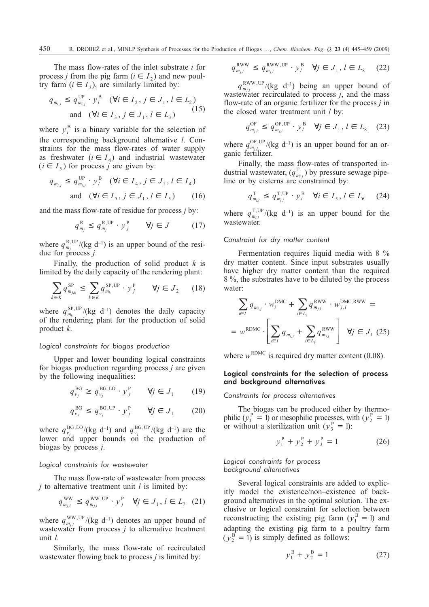The mass flow-rates of the inlet substrate *i* for process *j* from the pig farm  $(i \in I_2)$  and new poultry farm  $(i \in I_3)$ , are similarly limited by:

$$
q_{m_{i,j}} \le q_{m_{i,j}}^{\text{UP}} \cdot y_l^{\text{B}} \quad (\forall i \in I_2, j \in J_1, l \in L_2)
$$
  
and 
$$
(\forall i \in I_3, j \in J_1, l \in L_3)
$$
 (15)

where  $y_i^B$  is a binary variable for the selection of the corresponding background alternative *l*. Constraints for the mass flow-rates of water supply as freshwater  $(i \in I_4)$  and industrial wastewater  $(i \in I_5)$  for process *j* are given by:

$$
q_{m_{i,j}} \le q_{m_{i,j}}^{\text{UP}} \cdot y_l^{\text{B}} \quad (\forall i \in I_4, j \in J_1, l \in I_4)
$$
  
and 
$$
(\forall i \in I_5, j \in J_1, l \in I_5) \qquad (16)
$$

and the mass flow-rate of residue for process *j* by:

$$
q_{m_j}^{\mathrm{R}} \le q_{m_j}^{\mathrm{R,UP}} \cdot y_j^{\mathrm{P}} \qquad \forall j \in J \tag{17}
$$

where  $q_{m_j}^{\rm R,UP}/(\text{kg d}^{-1})$  is an upper bound of the residue for process *j*.

Finally, the production of solid product *k* is limited by the daily capacity of the rendering plant:

$$
\sum_{k \in K} q_{m_{j,k}}^{\text{SP}} \le \sum_{k \in K} q_{m_k}^{\text{SP,UP}} \cdot y_j^{\text{P}} \qquad \forall j \in J_2 \tag{18}
$$

where  $q_{m_k}^{\text{SP,UP}}/(\text{kg d}^{-1})$  denotes the daily capacity of the rendering plant for the production of solid product *k*.

#### *Logical constraints for biogas production*

Upper and lower bounding logical constraints for biogas production regarding process *j* are given by the following inequalities:

$$
q_{v_j}^{\text{BG}} \ge q_{v_j}^{\text{BG,LO}} \cdot y_j^{\text{P}} \qquad \forall j \in J_1 \tag{19}
$$

$$
q_{v_j}^{\text{BG}} \le q_{v_j}^{\text{BG,UP}} \cdot y_j^{\text{P}} \qquad \forall j \in J_1 \qquad (20)
$$

where  $q_{v_j}^{\text{BG,LO}}/(\text{kg d}^{-1})$  and  $q_{v_j}^{\text{BG,UP}}/(\text{kg d}^{-1})$  are the lower and upper bounds on the production of biogas by process *j*.

# *Logical constraints for wastewater*

The mass flow-rate of wastewater from process *j* to alternative treatment unit *l* is limited by:

$$
q_{m_{j,l}}^{\text{WW}} \le q_{m_{j,l}}^{\text{WW,UP}} \cdot y_j^{\text{P}} \quad \forall j \in J_1, l \in L_7 \quad (21)
$$

where  $q_{m_{j,l}}^{\text{WW,UP}}/(\text{kg d}^{-1})$  denotes an upper bound of wastewater from process *j* to alternative treatment unit *l*.

Similarly, the mass flow-rate of recirculated wastewater flowing back to process *j* is limited by:

$$
q_{m_{j,l}}^{\text{RWW}} \le q_{m_{j,l}}^{\text{RWW,UP}} \cdot y_l^{\text{B}} \quad \forall j \in J_1, l \in L_8 \quad (22)
$$

 $q_{m_{j,l}}^{\text{RWW,UP}}/(\text{kg d}^{-1})$  being an upper bound of wastewater recirculated to process  $\hat{i}$ , and the mass flow-rate of an organic fertilizer for the process *j* in the closed water treatment unit *l* by:

$$
q_{m_{j,l}}^{\text{OF}} \le q_{m_{j,l}}^{\text{OF}, \text{UP}} \cdot y_l^{\text{B}} \quad \forall j \in J_1, l \in L_8 \quad (23)
$$

where  $q_{m_{j,l}}^{\text{OF,UP}}/(\text{kg d}^{-1})$  is an upper bound for an organic fertilizer.

Finally, the mass flow-rates of transported industrial wastewater,  $(q_{m_{i,l}}^T)$  by pressure sewage pipeline or by cisterns are constrained by:

$$
q_{m_{i,l}}^{\mathrm{T}} \leq q_{m_{i,l}}^{\mathrm{T,UP}} \cdot y_l^{\mathrm{B}} \quad \forall i \in I_5, l \in L_6 \tag{24}
$$

where  $q_{m_{i,l}}^{\text{T,UP}}/(\text{kg d}^{-1})$  is an upper bound for the wastewater.

# *Constraint for dry matter content*

Fermentation requires liquid media with 8 % dry matter content. Since input substrates usually have higher dry matter content than the required 8 %, the substrates have to be diluted by the process water:

$$
\sum_{i \in I} q_{m_{i,j}} \cdot w_i^{\text{DMC}} + \sum_{l \in L_8} q_{m_{j,l}}^{\text{RWW}} \cdot w_{j,l}^{\text{DMC,RWW}} =
$$
\n
$$
= w^{\text{RDMC}} \cdot \left[ \sum_{i \in I} q_{m_{i,j}} + \sum_{l \in L_8} q_{m_{j,l}}^{\text{RWW}} \right] \quad \forall j \in J_1 \text{ (25)}
$$

where  $w^{\text{RDMC}}$  is required dry matter content (0.08).

# Logical constraints for the selection of process and background alternatives

*Constraints for process alternatives*

The biogas can be produced either by thermophilic ( $y_1^P = I$ ) or mesophilic processes, with ( $y_2^P = I$ ) or without a sterilization unit  $(y_3^P = 1)$ :

$$
y_1^P + y_2^P + y_3^P = 1 \tag{26}
$$

*Logical constraints for process background alternatives*

Several logical constraints are added to explicitly model the existence/non–existence of background alternatives in the optimal solution. The exclusive or logical constraint for selection between reconstructing the existing pig farm  $(y_1^B = 1)$  and adapting the existing pig farm to a poultry farm  $(y_2^B = 1)$  is simply defined as follows:

$$
y_1^B + y_2^B = 1 \tag{27}
$$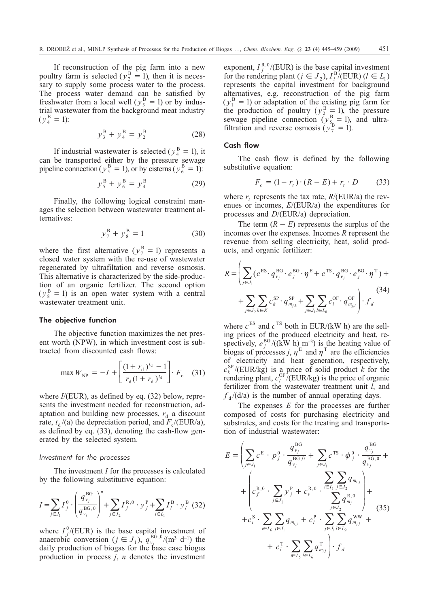If reconstruction of the pig farm into a new poultry farm is selected  $(y_2^B = 1)$ , then it is necessary to supply some process water to the process. The process water demand can be satisfied by freshwater from a local well ( $y_3^B = 1$ ) or by industrial wastewater from the background meat industry  $(y_4^B = 1)$ :

$$
y_3^B + y_4^B = y_2^B \tag{28}
$$

If industrial wastewater is selected ( $y_4^B = 1$ ), it can be transported either by the pressure sewage pipeline connection ( $y_5^B = 1$ ), or by cisterns ( $y_6^B = 1$ ):

$$
y_5^B + y_6^B = y_4^B \tag{29}
$$

Finally, the following logical constraint manages the selection between wastewater treatment alternatives:

$$
y_7^B + y_8^B = 1 \tag{30}
$$

where the first alternative ( $y_7^B = 1$ ) represents a closed water system with the re-use of wastewater regenerated by ultrafiltation and reverse osmosis. This alternative is characterized by the side-production of an organic fertilizer. The second option  $(y_8^B = 1)$  is an open water system with a central wastewater treatment unit.

# The objective function

The objective function maximizes the net present worth (NPW), in which investment cost is subtracted from discounted cash flows:

$$
\max W_{\text{NP}} = -I + \left[ \frac{(1 + r_{\text{d}})^{t_{\text{d}}} - 1}{r_{\text{d}} (1 + r_{\text{d}})^{t_{\text{d}}}} \right] \cdot F_{\text{c}} \quad (31)
$$

where *I*/(EUR), as defined by eq. (32) below, represents the investment needed for reconstruction, adaptation and building new processes,  $r_d$  a discount rate,  $t_d$ /(a) the depreciation period, and  $F_c$ /(EUR/a), as defined by eq. (33), denoting the cash-flow generated by the selected system.

### *Investment for the processes*

The investment *I* for the processes is calculated by the following substitutive equation:

$$
I = \sum_{j \in J_1} I_j^0 \cdot \left( \frac{q_{\nu_j}^{BG}}{q_{\nu_j}^{BG,0}} \right)^n + \sum_{j \in J_2} I_j^{R,0} \cdot y_j^P + \sum_{l \in L_1} I_l^B \cdot y_l^B \tag{32}
$$

where  $I_j^0$ /(EUR) is the base capital investment of anaerobic conversion  $(j \in J_1)$ ,  $q_{v_j}^{\text{BG},0}/(\text{m}^3 \text{ d}^{-1})$  the daily production of biogas for the base case biogas production in process *j*, *n* denotes the investment

exponent,  $I_j^{R,0}/(EUR)$  is the base capital investment for the rendering plant ( $j \in J_2$ ),  $I_l^B$ /(EUR) ( $l \in L_l$ ) represents the capital investment for background alternatives, e.g. reconstruction of the pig farm  $(y_1^B = 1)$  or adaptation of the existing pig farm for the production of poultry  $(y_2^B = 1)$ , the pressure sewage pipeline connection  $(y_{5}^B = 1)$ , and ultrafiltration and reverse osmosis  $(y_7^B = 1)$ .

#### Cash flow

The cash flow is defined by the following substitutive equation:

$$
F_c = (1 - r_t) \cdot (R - E) + r_t \cdot D \tag{33}
$$

where  $r_t$  represents the tax rate,  $R/(EUR/a)$  the revenues or incomes, *E*/(EUR/a) the expenditures for processes and *D*/(EUR/a) depreciation.

The term  $(R - E)$  represents the surplus of the incomes over the expenses. Incomes *R* represent the revenue from selling electricity, heat, solid products, and organic fertilizer:

$$
R = \left( \sum_{j \in J_1} (c^{\text{ES}} \cdot q_{\nu_j}^{\text{BG}} \cdot e^{\text{BG}}_{j} \cdot \eta^{\text{E}} + c^{\text{TS}} \cdot q_{\nu_j}^{\text{BG}} \cdot e^{\text{BG}}_{j} \cdot \eta^{\text{T}}) + \sum_{j \in J_2} \sum_{k \in K} c^{\text{SP}}_{k} \cdot q_{m_{j,k}}^{\text{SP}} + \sum_{j \in J_1} \sum_{l \in L_8} c^{\text{OF}}_{l} \cdot q_{m_{j,l}}^{\text{OF}} \right) \cdot f_d
$$
\n(34)

where  $c^{ES}$  and  $c^{TS}$  both in EUR/(kW h) are the selling prices of the produced electricity and heat, respectively,  $e_j^{\text{BG}}/((\hat{kW} h)_{n}^{\text{m}-3})$  is the heating value of biogas of processes *j*,  $\eta^E$  and  $\eta^T$  are the efficiencies of electricity and heat generation, respectively,  $c_k^{\text{SP}}$ /(EUR/kg) is a price of solid product *k* for the rendering plant,  $c_l^{\text{OF}}$ /(EUR/kg) is the price of organic fertilizer from the wastewater treatment unit *l*, and  $f_d$ /(d/a) is the number of annual operating days.

The expenses *E* for the processes are further composed of costs for purchasing electricity and substrates, and costs for the treating and transportation of industrial wastewater:

$$
E = \left( \sum_{j \in J_1} c^{E} \cdot p_j^{0} \cdot \frac{q_{v_j}^{BG}}{q_{v_j}^{BG,0}} + \sum_{j \in J_1} c^{TS} \cdot \phi_j^{0} \cdot \frac{q_{v_j}^{BG}}{q_{v_j}^{BG,0}} + \right. \\
\left. + \left( c_f^{R,0} \cdot \sum_{j \in J_2} y_j^{P} + c_v^{R,0} \cdot \frac{\sum_{i \in I_1} \sum_{j \in J_2} q_{m_{i,j}}}{\sum_{j \in J_2} q_{m_j}} \right) + c_i^S \cdot \sum_{i \in I_5} \sum_{j \in J_1} q_{m_{i,j}} + c_i^P \cdot \sum_{j \in J_1} \sum_{l \in L_9} q_{m_{j,l}}^{WW} + \right. \\
\left. + c_i^T \cdot \sum_{i \in I_5} \sum_{l \in L_6} q_{m_{i,l}}^T \right) \cdot f_d
$$
\n(35)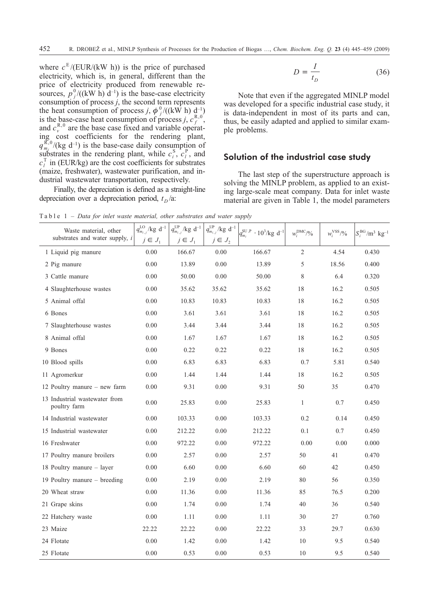where  $c^E / (EUR/(kW h))$  is the price of purchased electricity, which is, in general, different than the price of electricity produced from renewable resources,  $p_j^0/((kW \; h) \; d^{-1})$  is the base-case electricity consumption of process *j*, the second term represents the heat consumption of process *j*,  $\phi_j^0/((k\hat{W} h) \frac{d^{-1}}{d})$ is the base-case heat consumption of process *j*,  $c_f^{R,0}$ , and  $c_v^{\text{R},0}$  are the base case fixed and variable operating cost coefficients for the rendering plant,  $q_{m_j}^{\bar{R},0}$ /(kg d<sup>-1</sup>) is the base-case daily consumption of substrates in the rendering plant, while  $c_i^S$ ,  $c_l^P$ , and  $c_l^T$  in (EUR/kg) are the cost coefficients for substrates (maize, freshwater), wastewater purification, and industrial wastewater transportation, respectively.

Finally, the depreciation is defined as a straight-line depreciation over a depreciation period,  $t<sub>D</sub>/a$ :

$$
D = \frac{I}{t_D} \tag{36}
$$

Note that even if the aggregated MINLP model was developed for a specific industrial case study, it is data-independent in most of its parts and can, thus, be easily adapted and applied to similar example problems.

# **Solution of the industrial case study**

The last step of the superstructure approach is solving the MINLP problem, as applied to an existing large-scale meat company. Data for inlet waste material are given in Table 1, the model parameters

Table 1 – *Data for inlet waste material, other substrates and water supply*

| Waste material, other<br>substrates and water supply, i | $q_{m_{i,j}}^{\text{LO}}$ /kg d <sup>-1</sup><br>$j\in J_1$ | $q_{m_{i,j}}^{\text{UP}}/\text{kg d}^{-1}$<br>$j\in J_1$ | $q_{m_{i,j}}^{\rm{UP}}/\rm{kg}$ d <sup>-1</sup><br>$j\in J$ , | $q_{\mathit{m_i}}^{\rm SU,P}\, \cdot 10^3/\text{kg d}^{-1}$ | $w_i^{\text{DMC}}/0/0$ | $w_i^{\text{VSS}}/9/0$ | $S_i^{BG}/m^3$ kg <sup>-1</sup> |
|---------------------------------------------------------|-------------------------------------------------------------|----------------------------------------------------------|---------------------------------------------------------------|-------------------------------------------------------------|------------------------|------------------------|---------------------------------|
| 1 Liquid pig manure                                     | 0.00                                                        | 166.67                                                   | 0.00                                                          | 166.67                                                      | $\overline{2}$         | 4.54                   | 0.430                           |
| 2 Pig manure                                            | 0.00                                                        | 13.89                                                    | 0.00                                                          | 13.89                                                       | 5                      | 18.56                  | 0.400                           |
| 3 Cattle manure                                         | 0.00                                                        | 50.00                                                    | 0.00                                                          | 50.00                                                       | 8                      | 6.4                    | 0.320                           |
| 4 Slaughterhouse wastes                                 | 0.00                                                        | 35.62                                                    | 35.62                                                         | 35.62                                                       | 18                     | 16.2                   | 0.505                           |
| 5 Animal offal                                          | 0.00                                                        | 10.83                                                    | 10.83                                                         | 10.83                                                       | 18                     | 16.2                   | 0.505                           |
| 6 Bones                                                 | 0.00                                                        | 3.61                                                     | 3.61                                                          | 3.61                                                        | 18                     | 16.2                   | 0.505                           |
| 7 Slaughterhouse wastes                                 | 0.00                                                        | 3.44                                                     | 3.44                                                          | 3.44                                                        | 18                     | 16.2                   | 0.505                           |
| 8 Animal offal                                          | 0.00                                                        | 1.67                                                     | 1.67                                                          | 1.67                                                        | 18                     | 16.2                   | 0.505                           |
| 9 Bones                                                 | 0.00                                                        | 0.22                                                     | 0.22                                                          | 0.22                                                        | 18                     | 16.2                   | 0.505                           |
| 10 Blood spills                                         | 0.00                                                        | 6.83                                                     | 6.83                                                          | 6.83                                                        | 0.7                    | 5.81                   | 0.540                           |
| 11 Agromerkur                                           | $0.00\,$                                                    | 1.44                                                     | 1.44                                                          | 1.44                                                        | 18                     | 16.2                   | 0.505                           |
| 12 Poultry manure – new farm                            | 0.00                                                        | 9.31                                                     | 0.00                                                          | 9.31                                                        | 50                     | 35                     | 0.470                           |
| 13 Industrial wastewater from<br>poultry farm           | 0.00                                                        | 25.83                                                    | 0.00                                                          | 25.83                                                       | $\mathbf{1}$           | 0.7                    | 0.450                           |
| 14 Industrial wastewater                                | 0.00                                                        | 103.33                                                   | 0.00                                                          | 103.33                                                      | 0.2                    | 0.14                   | 0.450                           |
| 15 Industrial wastewater                                | 0.00                                                        | 212.22                                                   | 0.00                                                          | 212.22                                                      | 0.1                    | 0.7                    | 0.450                           |
| 16 Freshwater                                           | 0.00                                                        | 972.22                                                   | 0.00                                                          | 972.22                                                      | 0.00                   | 0.00                   | 0.000                           |
| 17 Poultry manure broilers                              | 0.00                                                        | 2.57                                                     | 0.00                                                          | 2.57                                                        | 50                     | 41                     | 0.470                           |
| 18 Poultry manure - layer                               | 0.00                                                        | 6.60                                                     | 0.00                                                          | 6.60                                                        | 60                     | 42                     | 0.450                           |
| 19 Poultry manure – breeding                            | 0.00                                                        | 2.19                                                     | 0.00                                                          | 2.19                                                        | 80                     | 56                     | 0.350                           |
| 20 Wheat straw                                          | 0.00                                                        | 11.36                                                    | 0.00                                                          | 11.36                                                       | 85                     | 76.5                   | 0.200                           |
| 21 Grape skins                                          | 0.00                                                        | 1.74                                                     | 0.00                                                          | 1.74                                                        | 40                     | 36                     | 0.540                           |
| 22 Hatchery waste                                       | 0.00                                                        | 1.11                                                     | 0.00                                                          | 1.11                                                        | 30                     | 27                     | 0.760                           |
| 23 Maize                                                | 22.22                                                       | 22.22                                                    | 0.00                                                          | 22.22                                                       | 33                     | 29.7                   | 0.630                           |
| 24 Flotate                                              | 0.00                                                        | 1.42                                                     | 0.00                                                          | 1.42                                                        | 10                     | 9.5                    | 0.540                           |
| 25 Flotate                                              | 0.00                                                        | 0.53                                                     | 0.00                                                          | 0.53                                                        | 10                     | 9.5                    | 0.540                           |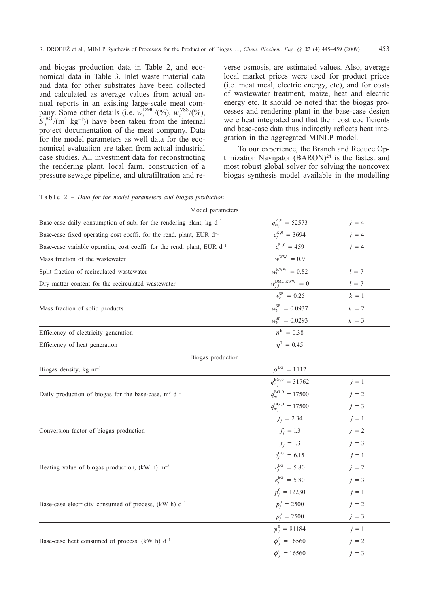and biogas production data in Table 2, and economical data in Table 3. Inlet waste material data and data for other substrates have been collected and calculated as average values from actual annual reports in an existing large-scale meat company. Some other details (i.e.  $w_i^{\text{DMC}}/(%), w_i^{\text{VSS}}/(%),$  $S_i^{BG}/(m^3 \text{ kg}^{-1})$ ) have been taken from the internal project documentation of the meat company. Data for the model parameters as well data for the economical evaluation are taken from actual industrial case studies. All investment data for reconstructing the rendering plant, local farm, construction of a pressure sewage pipeline, and ultrafiltration and reverse osmosis, are estimated values. Also, average local market prices were used for product prices (i.e. meat meal, electric energy, etc), and for costs of wastewater treatment, maize, heat and electric energy etc. It should be noted that the biogas processes and rendering plant in the base-case design were heat integrated and that their cost coefficients and base-case data thus indirectly reflects heat integration in the aggregated MINLP model.

To our experience, the Branch and Reduce Optimization Navigator (BARON)<sup>24</sup> is the fastest and most robust global solver for solving the noncovex biogas synthesis model available in the modelling

|  |  |  | Table $2$ – Data for the model parameters and biogas production |  |  |
|--|--|--|-----------------------------------------------------------------|--|--|
|  |  |  |                                                                 |  |  |

| Model parameters                                                            |                                 |         |
|-----------------------------------------------------------------------------|---------------------------------|---------|
| Base-case daily consumption of sub. for the rendering plant, kg $d^{-1}$    | $q_{m_i}^{\rm R,0} = 52573$     | $j = 4$ |
| Base-case fixed operating cost coeffi. for the rend. plant, EUR $d^{-1}$    | $c_f^{R,0} = 3694$              | $i = 4$ |
| Base-case variable operating cost coeffi. for the rend. plant, EUR $d^{-1}$ | $c_v^{R,0} = 459$               | $i = 4$ |
| Mass fraction of the wastewater                                             | $w^{\text{WW}} = 0.9$           |         |
| Split fraction of recirculated wastewater                                   | $w_l^{\text{RWW}} = 0.82$       | $l = 7$ |
| Dry matter content for the recirculated wastewater                          | $w_{j,l}^{\text{DMC,RWW}}=0$    | $l = 7$ |
|                                                                             | $w_k^{\rm SP} = 0.25$           | $k=1$   |
| Mass fraction of solid products                                             | $w_t^{\rm SP} = 0.0937$         | $k = 2$ |
|                                                                             | $w_k^{\rm SP} = 0.0293$         | $k = 3$ |
| Efficiency of electricity generation                                        | $\eta^{\rm E} = 0.38$           |         |
| Efficiency of heat generation                                               | $\eta^{\rm T} = 0.45$           |         |
| Biogas production                                                           |                                 |         |
| Biogas density, $kg \text{ m}^{-3}$                                         | $\rho^{\rm BG} = 1.112$         |         |
|                                                                             | $q_{m_i}^{\text{BG},0} = 31762$ | $j=1$   |
| Daily production of biogas for the base-case, $m^3$ d <sup>-1</sup>         | $q_{m_i}^{\text{BG},0} = 17500$ | $j = 2$ |
|                                                                             | $q_{m_i}^{\text{BG},0} = 17500$ | $j = 3$ |
|                                                                             | $f_i = 2.34$                    | $j=1$   |
| Conversion factor of biogas production                                      | $f_i = 1.3$                     | $j = 2$ |
|                                                                             | $f_j = 1.3$                     | $i = 3$ |
|                                                                             | $e_i^{BG} = 6.15$               | $i = 1$ |
| Heating value of biogas production, (kW h) $m^{-3}$                         | $e_i^{\text{BG}} = 5.80$        | $j = 2$ |
|                                                                             | $e_i^{\text{BG}} = 5.80$        | $j = 3$ |
|                                                                             | $p_i^0 = 12230$                 | $i=1$   |
| Base-case electricity consumed of process, (kW h) $d^{-1}$                  | $p_i^0 = 2500$                  | $i = 2$ |
|                                                                             | $p_i^0 = 2500$                  | $j = 3$ |
|                                                                             | $\phi_i^0 = 81184$              | $j=1$   |
| Base-case heat consumed of process, (kW h) $d^{-1}$                         | $\phi_i^0 = 16560$              | $i = 2$ |
|                                                                             | $\phi_i^0 = 16560$              | $j = 3$ |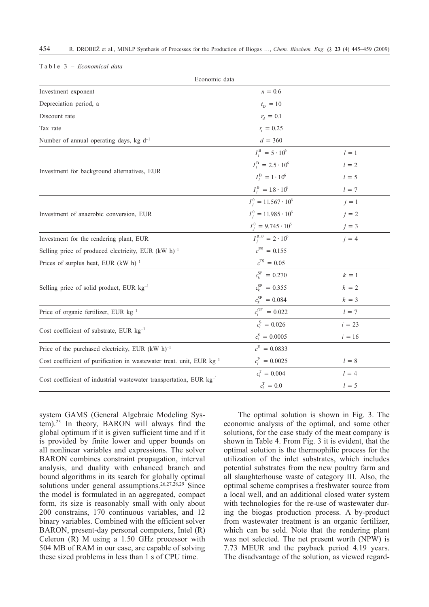| Economic data                                                                    |                                    |          |  |  |  |  |
|----------------------------------------------------------------------------------|------------------------------------|----------|--|--|--|--|
| Investment exponent                                                              | $n = 0.6$                          |          |  |  |  |  |
| Depreciation period, a                                                           | $t_{\rm D} = 10$                   |          |  |  |  |  |
| Discount rate                                                                    | $r_d = 0.1$                        |          |  |  |  |  |
| Tax rate                                                                         | $r_t = 0.25$                       |          |  |  |  |  |
| Number of annual operating days, kg $d^{-1}$                                     | $d = 360$                          |          |  |  |  |  |
|                                                                                  | $I_{I}^{\rm B} = 5 \cdot 10^{6}$   | $l = 1$  |  |  |  |  |
|                                                                                  | $I_{I}^{\rm B} = 2.5 \cdot 10^{6}$ | $l = 2$  |  |  |  |  |
| Investment for background alternatives, EUR                                      | $I_l^{\rm B} = 1 \cdot 10^6$       | $l = 5$  |  |  |  |  |
|                                                                                  | $I_I^{\rm B} = 1.8 \cdot 10^6$     | $l = 7$  |  |  |  |  |
|                                                                                  | $I_i^0 = 11.567 \cdot 10^6$        | $j=1$    |  |  |  |  |
| Investment of anaerobic conversion, EUR                                          | $I_i^0 = 11.985 \cdot 10^6$        | $j = 2$  |  |  |  |  |
|                                                                                  | $I_i^0 = 9.745 \cdot 10^6$         | $j = 3$  |  |  |  |  |
| Investment for the rendering plant, EUR                                          | $I_i^{\rm R,0} = 2 \cdot 10^6$     | $j = 4$  |  |  |  |  |
| Selling price of produced electricity, EUR $(kW h)^{-1}$                         | $c^{ES} = 0.155$                   |          |  |  |  |  |
| Prices of surplus heat, EUR $(kW h)^{-1}$                                        | $c^{TS} = 0.05$                    |          |  |  |  |  |
|                                                                                  | $c_k^{\rm SP} = 0.270$             | $k=1$    |  |  |  |  |
| Selling price of solid product, EUR kg <sup>-1</sup>                             | $c_k^{\rm SP} = 0.355$             | $k = 2$  |  |  |  |  |
|                                                                                  | $c_k^{\rm SP} = 0.084$             | $k = 3$  |  |  |  |  |
| Price of organic fertilizer, EUR kg <sup>-1</sup>                                | $c_i^{\rm OF} = 0.022$             | $l = 7$  |  |  |  |  |
|                                                                                  | $c_i^S = 0.026$                    | $i = 23$ |  |  |  |  |
| Cost coefficient of substrate, EUR kg <sup>-1</sup>                              | $c_i^S = 0.0005$                   | $i = 16$ |  |  |  |  |
| Price of the purchased electricity, EUR $(kW h)^{-1}$                            | $c^E = 0.0833$                     |          |  |  |  |  |
| Cost coefficient of purification in wastewater treat. unit, EUR kg <sup>-1</sup> | $c_l^{\rm P} = 0.0025$             | $l = 8$  |  |  |  |  |
|                                                                                  | $c_l^{\rm T} = 0.004$              | $l = 4$  |  |  |  |  |
| Cost coefficient of industrial wastewater transportation, EUR $kg^{-1}$          | $c_l^{\rm T} = 0.0$                | $l = 5$  |  |  |  |  |

Table 3 – *Economical data*

system GAMS (General Algebraic Modeling System).25 In theory, BARON will always find the global optimum if it is given sufficient time and if it is provided by finite lower and upper bounds on all nonlinear variables and expressions. The solver BARON combines constraint propagation, interval analysis, and duality with enhanced branch and bound algorithms in its search for globally optimal solutions under general assumptions.<sup>26,27,28,29</sup> Since the model is formulated in an aggregated, compact form, its size is reasonably small with only about 200 constrains, 170 continuous variables, and 12 binary variables. Combined with the efficient solver BARON, present-day personal computers, Intel (R) Celeron (R) M using a 1.50 GHz processor with 504 MB of RAM in our case, are capable of solving these sized problems in less than 1 s of CPU time.

The optimal solution is shown in Fig. 3. The economic analysis of the optimal, and some other solutions, for the case study of the meat company is shown in Table 4. From Fig. 3 it is evident, that the optimal solution is the thermophilic process for the utilization of the inlet substrates, which includes potential substrates from the new poultry farm and all slaughterhouse waste of category III. Also, the optimal scheme comprises a freshwater source from a local well, and an additional closed water system with technologies for the re-use of wastewater during the biogas production process. A by-product from wastewater treatment is an organic fertilizer, which can be sold. Note that the rendering plant was not selected. The net present worth (NPW) is 7.73 MEUR and the payback period 4.19 years. The disadvantage of the solution, as viewed regard-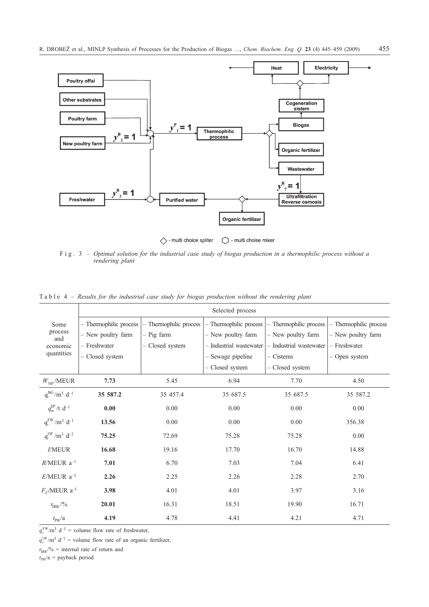

Fig. 3 – *Optimal solution for the industrial case study of biogas production in a thermophilic process without a rendering plant*

|                                        | Selected process       |                        |                         |                         |                        |  |  |  |
|----------------------------------------|------------------------|------------------------|-------------------------|-------------------------|------------------------|--|--|--|
| Some                                   | - Thermophilic process | - Thermophilic process | Thermophilic process    | - Thermophilic process  | - Thermophilic process |  |  |  |
| process<br>and                         | - New poultry farm     | - Pig farm             | - New poultry farm      | - New poultry farm      | - New poultry farm     |  |  |  |
| economic                               | - Freshwater           | - Closed system        | - Industrial wastewater | - Industrial wastewater | - Freshwater           |  |  |  |
| quantities                             | - Closed system        |                        | Sewage pipeline         | - Cisterns              | - Open system          |  |  |  |
|                                        |                        |                        | - Closed system         | - Closed system         |                        |  |  |  |
| $W_{\text{NP}}$ /MEUR                  | 7.73                   | 5.45                   | 6.94                    | 7.70                    | 4.50                   |  |  |  |
| $q_{\nu}^{\text{BG}}/m^3 d^{-1}$       | 35 587.2               | 35 457.4               | 35 687.5                | 35 687.5                | 35 587.2               |  |  |  |
| $q_m^{\rm SP}/t \, d^{-1}$             | 0.00                   | 0.00                   | 0.00                    | 0.00                    | 0.00                   |  |  |  |
| $q_{\nu}^{\rm FW}/m^3\,d^{-1}$         | 13.56                  | 0.00                   | 0.00                    | 0.00                    | 356.38                 |  |  |  |
| $q_{\nu}^{\rm OF}/m^3$ d <sup>-1</sup> | 75.25                  | 72.69                  | 75.28                   | 75.28                   | 0.00                   |  |  |  |
| <b>I/MEUR</b>                          | 16.68                  | 19.16                  | 17.70                   | 16.70                   | 14.88                  |  |  |  |
| $R/MEUR$ a <sup>-1</sup>               | 7.01                   | 6.70                   | 7.03                    | 7.04                    | 6.41                   |  |  |  |
| $E/\mathrm{MEUR}$ a <sup>-1</sup>      | 2.26                   | 2.25                   | 2.26                    | 2.28                    | 2.70                   |  |  |  |
| $F_{C}$ /MEUR a <sup>-1</sup>          | 3.98                   | 4.01                   | 4.01                    | 3.97                    | 3.16                   |  |  |  |
| $r_{\rm{IRR}}$ /%                      | 20.01                  | 16.31                  | 18.51                   | 19.90                   | 16.71                  |  |  |  |
| $t_{\rm PB}/\rm a$                     | 4.19                   | 4.78                   | 4.41                    | 4.21                    | 4.71                   |  |  |  |

Table 4 – *Results for the industrial case study for biogas production without the rendering plant*

 $q_v^{\text{FW}}$ /m<sup>3</sup> d<sup>-1</sup> = volume flow rate of freshwater,

 $q_v^{\text{OF}}/m^3$  d<sup>-1</sup> = volume flow rate of an organic fertilizer,

 $r_{\text{IRR}}$ /% = internal rate of return and

 $t_{PB}/a$  = payback period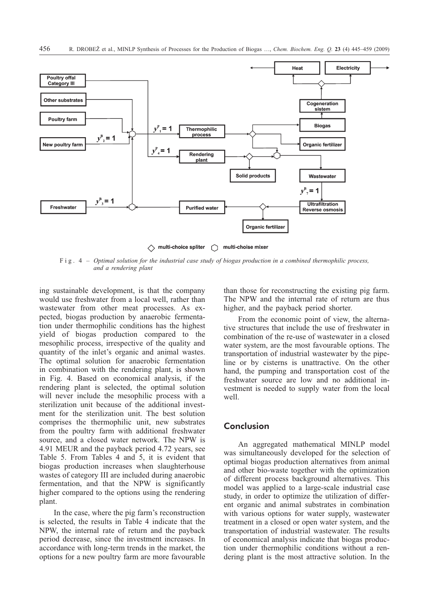

◇ multi-choice spliter () multi-choise mixer

Fig. 4 – *Optimal solution for the industrial case study of biogas production in a combined thermophilic process, and a rendering plant*

ing sustainable development, is that the company would use freshwater from a local well, rather than wastewater from other meat processes. As expected, biogas production by anaerobic fermentation under thermophilic conditions has the highest yield of biogas production compared to the mesophilic process, irrespective of the quality and quantity of the inlet's organic and animal wastes. The optimal solution for anaerobic fermentation in combination with the rendering plant, is shown in Fig. 4. Based on economical analysis, if the rendering plant is selected, the optimal solution will never include the mesophilic process with a sterilization unit because of the additional investment for the sterilization unit. The best solution comprises the thermophilic unit, new substrates from the poultry farm with additional freshwater source, and a closed water network. The NPW is 4.91 MEUR and the payback period 4.72 years, see Table 5. From Tables 4 and 5, it is evident that biogas production increases when slaughterhouse wastes of category III are included during anaerobic fermentation, and that the NPW is significantly higher compared to the options using the rendering plant.

In the case, where the pig farm's reconstruction is selected, the results in Table 4 indicate that the NPW, the internal rate of return and the payback period decrease, since the investment increases. In accordance with long-term trends in the market, the options for a new poultry farm are more favourable than those for reconstructing the existing pig farm. The NPW and the internal rate of return are thus higher, and the payback period shorter.

From the economic point of view, the alternative structures that include the use of freshwater in combination of the re-use of wastewater in a closed water system, are the most favourable options. The transportation of industrial wastewater by the pipeline or by cisterns is unattractive. On the other hand, the pumping and transportation cost of the freshwater source are low and no additional investment is needed to supply water from the local well.

# **Conclusion**

An aggregated mathematical MINLP model was simultaneously developed for the selection of optimal biogas production alternatives from animal and other bio-waste together with the optimization of different process background alternatives. This model was applied to a large-scale industrial case study, in order to optimize the utilization of different organic and animal substrates in combination with various options for water supply, wastewater treatment in a closed or open water system, and the transportation of industrial wastewater. The results of economical analysis indicate that biogas production under thermophilic conditions without a rendering plant is the most attractive solution. In the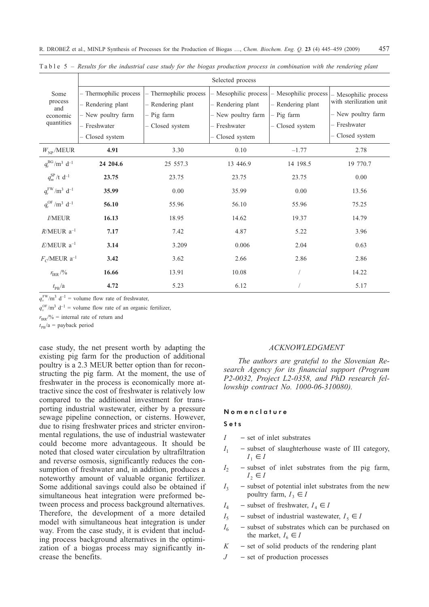|                                               | Selected process       |                        |                      |                      |                                                 |  |  |  |
|-----------------------------------------------|------------------------|------------------------|----------------------|----------------------|-------------------------------------------------|--|--|--|
| Some<br>process                               | - Thermophilic process | - Thermophilic process | - Mesophilic process | - Mesophilic process | - Mesophilic process<br>with sterilization unit |  |  |  |
| and                                           | - Rendering plant      | - Rendering plant      | - Rendering plant    | - Rendering plant    | - New poultry farm                              |  |  |  |
| economic<br>quantities                        | - New poultry farm     | - Pig farm             | - New poultry farm   | - Pig farm           |                                                 |  |  |  |
|                                               | - Freshwater           | - Closed system        | - Freshwater         | Closed system        | - Freshwater                                    |  |  |  |
|                                               | - Closed system        |                        | Closed system        |                      | - Closed system                                 |  |  |  |
| $W_{NP}$ /MEUR                                | 4.91                   | 3.30                   | 0.10                 | $-1.77$              | 2.78                                            |  |  |  |
| $q_{v}^{\text{BG}}/\text{m}^3 \text{ d}^{-1}$ | 24 204.6               | 25 557.3               | 13 446.9             | 14 198.5             | 19 770.7                                        |  |  |  |
| $q_m^{\rm SP}/t \, d^{-1}$                    | 23.75                  | 23.75                  | 23.75                | 23.75                | 0.00                                            |  |  |  |
| $q_{\nu}^{\text{FW}}/m^3 d^{-1}$              | 35.99                  | 0.00                   | 35.99                | 0.00                 | 13.56                                           |  |  |  |
| $q_v^{\rm OF}/m^3$ d <sup>-1</sup>            | 56.10                  | 55.96                  | 56.10                | 55.96                | 75.25                                           |  |  |  |
| I/MEUR                                        | 16.13                  | 18.95                  | 14.62                | 19.37                | 14.79                                           |  |  |  |
| $R/MEUR$ a <sup>-1</sup>                      | 7.17                   | 7.42                   | 4.87                 | 5.22                 | 3.96                                            |  |  |  |
| $E/\text{MEUR}$ a <sup>-1</sup>               | 3.14                   | 3.209                  | 0.006                | 2.04                 | 0.63                                            |  |  |  |
| $F_C$ /MEUR a <sup>-1</sup>                   | 3.42                   | 3.62                   | 2.66                 | 2.86                 | 2.86                                            |  |  |  |
| $r_{\rm{IRR}}$ /%                             | 16.66                  | 13.91                  | 10.08                |                      | 14.22                                           |  |  |  |
| $t_{\rm PB}/a$                                | 4.72                   | 5.23                   | 6.12                 |                      | 5.17                                            |  |  |  |

Table 5 – *Results for the industrial case study for the biogas production process in combination with the rendering plant*

 $q_v^{\text{FW}}$ /m<sup>3</sup> d<sup>-1</sup> = volume flow rate of freshwater,

 $q_v^{\text{OF}}/m^3$  d<sup>-1</sup> = volume flow rate of an organic fertilizer,

 $r_{\text{IRR}}$ /% = internal rate of return and

 $t_{\text{PB}}/a$  = payback period

case study, the net present worth by adapting the existing pig farm for the production of additional poultry is a 2.3 MEUR better option than for reconstructing the pig farm. At the moment, the use of freshwater in the process is economically more attractive since the cost of freshwater is relatively low compared to the additional investment for transporting industrial wastewater, either by a pressure sewage pipeline connection, or cisterns. However, due to rising freshwater prices and stricter environmental regulations, the use of industrial wastewater could become more advantageous. It should be noted that closed water circulation by ultrafiltration and reverse osmosis, significantly reduces the consumption of freshwater and, in addition, produces a noteworthy amount of valuable organic fertilizer. Some additional savings could also be obtained if simultaneous heat integration were preformed between process and process background alternatives. Therefore, the development of a more detailed model with simultaneous heat integration is under way. From the case study, it is evident that including process background alternatives in the optimization of a biogas process may significantly increase the benefits.

#### *ACKNOWLEDGMENT*

*The authors are grateful to the Slovenian Research Agency for its financial support (Program P2-0032, Project L2-0358, and PhD research fellowship contract No. 1000-06-310080).*

#### Nomenclature

## Sets

- $I set of inlet substrates$
- $I_1$  subset of slaughterhouse waste of III category,  $I_1 \in I$
- $I_2$  subset of inlet substrates from the pig farm,  $I_2 \in I$
- $I_3$  subset of potential inlet substrates from the new poultry farm,  $I_3 \in I$
- $I_4$  subset of freshwater,  $I_4 \in I$
- $I_5$  subset of industrial wastewater,  $I_5 \in I$
- $I_6$  subset of substrates which can be purchased on the market,  $I_6 \in I$
- $K$  set of solid products of the rendering plant
- $J set of production processes$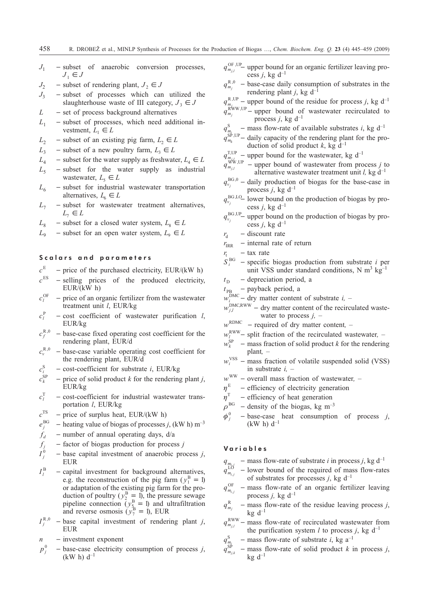- $J_1$  subset of anaerobic conversion processes,  $J_1 \in J$
- 
- *J*<sub>2</sub> subset of rendering plant, *J*<sub>2</sub>  $\in$  *J*<br>*J*<sub>3</sub> subset of processes which can - subset of processes which can utilized the slaughterhouse waste of III category,  $J_3 \in J$
- *L* set of process background alternatives
- $L_1$  subset of processes, which need additional investment,  $L_1 \in L$
- $L_2$  subset of an existing pig farm,  $L_2 \in L$
- $L_3$  subset of a new poultry farm,  $L_3 \in L$
- $L_4$  subset for the water supply as freshwater,  $L_4 \in L$
- $L<sub>5</sub>$  subset for the water supply as industrial wastewater,  $L_5 \in L$
- $L<sub>6</sub>$  subset for industrial wastewater transportation alternatives,  $L_6 \in L$
- $L_7$  subset for wastewater treatment alternatives,  $L_7 \in L$
- $L_8$  subset for a closed water system,  $L_8 \in L$
- $L_9$  subset for an open water system,  $L_9 \in L$

### Scalars and parameters

- 
- $c^E$  price of the purchased electricity, EUR/(kW h)<br> $c^{ES}$  selling prices of the produced electricity - selling prices of the produced electricity, EUR/(kW h)
- $c_j^{\text{OF}}$ - price of an organic fertilizer from the wastewater treatment unit *l*, EUR/kg
- $c_l^{\rm P}$  $-$  cost coefficient of wastewater purification *l*, EUR/kg
- $c_f^{R,0}$ - base-case fixed operating cost coefficient for the rendering plant, EUR/d
- $c_v^{\rm R,0}$ - base-case variable operating cost coefficient for the rendering plant, EUR/d
- $c_i^{\rm S}$  $-$  cost-coefficient for substrate *i*, EUR/kg
- $c_k^{\text{SP}}$  $-$  price of solid product *k* for the rendering plant *j*, EUR/kg
- $c_l^{\text{T}}$ - cost-coefficient for industrial wastewater transportation *l*, EUR/kg
- $c^{TS}$  price of surplus heat, EUR/(kW h)
- $e_i^{\text{BG}}$  $h$  heating value of biogas of processes *j*, (kW h) m<sup>-3</sup>
- $f_d$  number of annual operating days,  $d/a$
- $f_i$  factor of biogas production for process *j*
- $I_i^0$ <sup>0</sup> base capital investment of anaerobic process *j*, EUR
- $I_l^{\rm B}$ - capital investment for background alternatives, e.g. the reconstruction of the pig farm ( $y_1^B = 1$ ) or adaptation of the existing pig farm for the production of poultry ( $y_2^B = 1$ ), the pressure sewage pipeline connection  $(y_5^B = 1)$  and ultrafiltration and reverse osmosis  $(y_7^B = 1)$ , EUR
- $I^{R,0}_i$  $-$  base capital investment of rendering plant *j*, EUR
- $n$  investment exponent
- $p_i^0$ <sup>0</sup> base-case electricity consumption of process *j*,  $(kW h) d^{-1}$
- $q_{m_{j,l}}^{\text{OF, UP}}$  upper bound for an organic fertilizer leaving process *j*, kg  $d^{-1}$
- $q_{m_j}^{\rm R,0}$ - base-case daily consumption of substrates in the rendering plant *j*, kg  $d^{-1}$
- $q_{m,j}^{\text{R,UP}}$  upper bound of the residue for process *j*, kg d<sup>-1</sup>
- $q_{m_j}$ <sup>r</sup>  $R^{WW,UP}$  – upper bound of wastewater recirculated to process *j*, kg  $d^{-1}$
- $q_{m_i}^S$  mass flow-rate of available substrates *i*, kg d<sup>-1</sup>
- $q_{m_k}$ <sup>-</sup>  $\frac{S_P^{\beta} V_{\text{UP}}}{T}$  daily capacity of the rendering plant for the production of solid product  $k$ , kg d<sup>-1</sup>
- $q_{m_{\tilde{t}_i l_i}}^{\text{T,UP}}$  upper bound for the wastewater, kg d<sup>-1</sup>
- $q_{\mathit{m}_{\mathit{j},l}}$  $W_{m,j}^{WW,UP}$  – upper bound of wastewater from process *j* to alternative wastewater treatment unit *l*, kg  $d^{-1}$
- $q_{v_j}^{\text{BG},0}$  daily production of biogas for the base-case in process *j*, kg  $d^{-1}$
- $q_{v_i}^{\text{BG,LO}}$  lower bound on the production of biogas by process *j*, kg  $d^{-1}$
- $q_{v_i}^{\text{BG,UP}}$  upper bound on the production of biogas by process *j*, kg  $d^{-1}$
- $r_{\rm d}$  discount rate
- $r_{\text{IRR}}$  internal rate of return
- $r_t$  tax rate
- $S^{\mathrm{B} G}$  $-$  specific biogas production from substrate *i* per unit VSS under standard conditions, N  $m^3$  kg<sup>-1</sup>
- $t<sub>D</sub>$  depreciation period, a
- $t_{\text{PB}}$  payback period, a
- $w_i^{\text{DMC}}$  dry matter content of substrate *i*, –
- $w_{j,l}^{\text{DMC,RWW}}$  dry matter content of the recirculated wastewater to process *j,* –
- $w^{\text{RDMC}}$  required of dry matter content, –
- $w_l^{\text{RWW}}$  split fraction of the recirculated wastewater, –
- $\stackrel{\cdot}{\mathcal{W}}^{SP}_{\scriptscriptstyle{L}}$  $-$  mass fraction of solid product *k* for the rendering plant*,* –
- $w_i^{\text{VSS}}$  mass fraction of volatile suspended solid (VSS) in substrate *i,* –
- $w^{WW}$  overall mass fraction of wastewater, –<br> $\eta^{E}$  efficiency of electricity generation
- $\eta^E$  efficiency of electricity generation<br>  $\eta^T$  efficiency of heat generation
- efficiency of heat generation
- $\rho^{BG}$  density of the biogas, kg m<sup>-3</sup>
- $\phi^0$  $-$  base-case heat consumption of process  $j$ , (kW h)  $d^{-1}$

### **Variables**

 $q_{m_{i,j}}$  – mass flow-rate of substrate *i* in process *j*, kg d<sup>-1</sup>

- $q_{\mathit{m}_{i,j}}$ - lower bound of the required of mass flow-rates of substrates for processes *j*, kg  $d^{-1}$
- $q_{m_{i,j}}^{\rm OF}$  $-$  mass flow-rate of an organic fertilizer leaving process  $j$ , kg  $d^{-1}$
- $q_{m_j}^R$  $-$  mass flow-rate of the residue leaving process  $j$ , kg  $d^{-1}$
- $q_{m_{j,l}}^{\text{RWW}}$  mass flow-rate of recirculated wastewater from the purification system *l* to process *j*, kg  $d^{-1}$
- $q_{m_i}^{\rm S}$  $-$  mass flow-rate of substrate *i*, kg a<sup>-1</sup>
- $q_{\mathit{m}_{j,k}}^{\mathit{o}}$  $-$  mass flow-rate of solid product *k* in process *j*,  $kg d^{-1}$